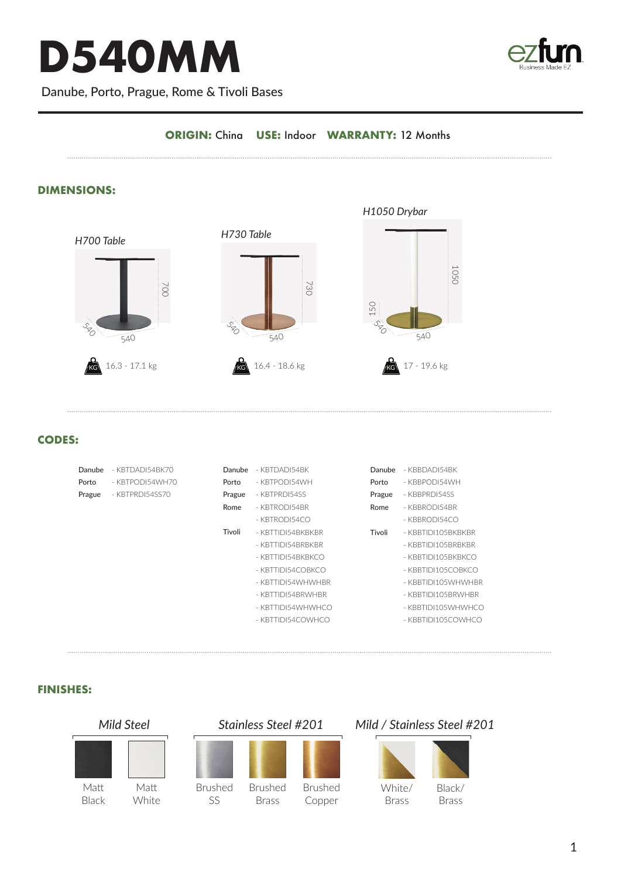# **D540MM**



Danube, Porto, Prague, Rome & Tivoli Bases

## **ORIGIN:** China **USE:** Indoor **WARRANTY:** 12 Months

## **DIMENSIONS:**



#### **CODES:**

|       | Danube | $-$ KBTDADI54BK70 | Danube | - KBTDADI54BK     | Danube | - KBBDADI54BK      |
|-------|--------|-------------------|--------|-------------------|--------|--------------------|
| Porto |        | - KBTPODI54WH70   | Porto  | - KBTPODI54WH     | Porto  | - KBBPODI54WH      |
|       | Prague | - KBTPRDI54SS70   | Prague | - KBTPRDI54SS     | Prague | - KBBPRDI54SS      |
|       |        |                   | Rome   | $-KBTRODI54BR$    | Rome   | - KBBRODI54BR      |
|       |        |                   |        | $-KBTROD 154 CO$  |        | $-$ KBBRODI54CO    |
|       |        |                   | Tivoli | - KBTTIDI54BKBKBR | Tivoli | - KBBTIDI105BKBKBR |
|       |        |                   |        | - KBTTIDI54BRBKBR |        | - KBBTIDI105BRBKBR |
|       |        |                   |        | - KBTTIDI54BKBKCO |        | - KBBTIDI105BKBKCO |
|       |        |                   |        | - KBTTIDI54COBKCO |        | - KBBTIDI105COBKCO |
|       |        |                   |        | - KBTTIDI54WHWHBR |        | - KBBTIDI105WHWHBR |
|       |        |                   |        | - KBTTIDI54BRWHBR |        | - KBBTIDI105BRWHBR |
|       |        |                   |        | - KBTTIDI54WHWHCO |        | - KBBTIDI105WHWHCO |
|       |        |                   |        | - KBTTIDI54COWHCO |        | - KBBTIDI105COWHCO |
|       |        |                   |        |                   |        |                    |
|       |        |                   |        |                   |        |                    |

#### **FINISHES:**